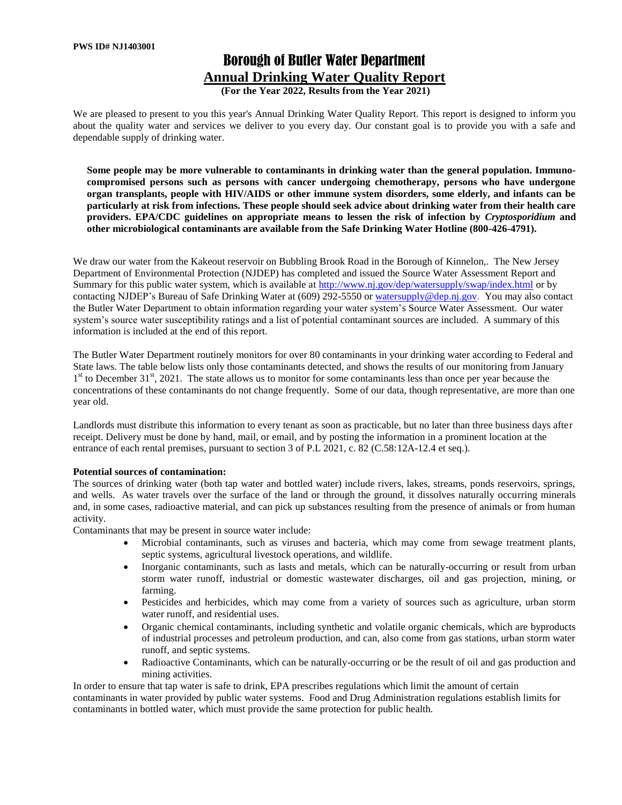# Borough of Butler Water Department **Annual Drinking Water Quality Report**

**(For the Year 2022, Results from the Year 2021)**

We are pleased to present to you this year's Annual Drinking Water Quality Report. This report is designed to inform you about the quality water and services we deliver to you every day. Our constant goal is to provide you with a safe and dependable supply of drinking water.

**Some people may be more vulnerable to contaminants in drinking water than the general population. Immunocompromised persons such as persons with cancer undergoing chemotherapy, persons who have undergone organ transplants, people with HIV/AIDS or other immune system disorders, some elderly, and infants can be particularly at risk from infections. These people should seek advice about drinking water from their health care providers. EPA/CDC guidelines on appropriate means to lessen the risk of infection by** *Cryptosporidium* **and other microbiological contaminants are available from the Safe Drinking Water Hotline (800-426-4791).** 

We draw our water from the Kakeout reservoir on Bubbling Brook Road in the Borough of Kinnelon,. The New Jersey Department of Environmental Protection (NJDEP) has completed and issued the Source Water Assessment Report and Summary for this public water system, which is available at<http://www.nj.gov/dep/watersupply/swap/index.html> or by contacting NJDEP's Bureau of Safe Drinking Water at (609) 292-5550 or [watersupply@dep.nj.gov.](mailto:watersupply@dep.nj.gov) You may also contact the Butler Water Department to obtain information regarding your water system's Source Water Assessment. Our water system's source water susceptibility ratings and a list of potential contaminant sources are included. A summary of this information is included at the end of this report.

The Butler Water Department routinely monitors for over 80 contaminants in your drinking water according to Federal and State laws. The table below lists only those contaminants detected, and shows the results of our monitoring from January 1<sup>st</sup> to December 31<sup>st</sup>, 2021. The state allows us to monitor for some contaminants less than once per year because the concentrations of these contaminants do not change frequently. Some of our data, though representative, are more than one year old.

Landlords must distribute this information to every tenant as soon as practicable, but no later than three business days after receipt. Delivery must be done by hand, mail, or email, and by posting the information in a prominent location at the entrance of each rental premises, pursuant to section 3 of P.L 2021, c. 82 (C.58:12A-12.4 et seq.).

#### **Potential sources of contamination:**

The sources of drinking water (both tap water and bottled water) include rivers, lakes, streams, ponds reservoirs, springs, and wells. As water travels over the surface of the land or through the ground, it dissolves naturally occurring minerals and, in some cases, radioactive material, and can pick up substances resulting from the presence of animals or from human activity.

Contaminants that may be present in source water include:

- Microbial contaminants, such as viruses and bacteria, which may come from sewage treatment plants, septic systems, agricultural livestock operations, and wildlife.
- Inorganic contaminants, such as lasts and metals, which can be naturally-occurring or result from urban storm water runoff, industrial or domestic wastewater discharges, oil and gas projection, mining, or farming.
- Pesticides and herbicides, which may come from a variety of sources such as agriculture, urban storm water runoff, and residential uses.
- Organic chemical contaminants, including synthetic and volatile organic chemicals, which are byproducts of industrial processes and petroleum production, and can, also come from gas stations, urban storm water runoff, and septic systems.
- Radioactive Contaminants, which can be naturally-occurring or be the result of oil and gas production and mining activities.

In order to ensure that tap water is safe to drink, EPA prescribes regulations which limit the amount of certain contaminants in water provided by public water systems. Food and Drug Administration regulations establish limits for contaminants in bottled water, which must provide the same protection for public health.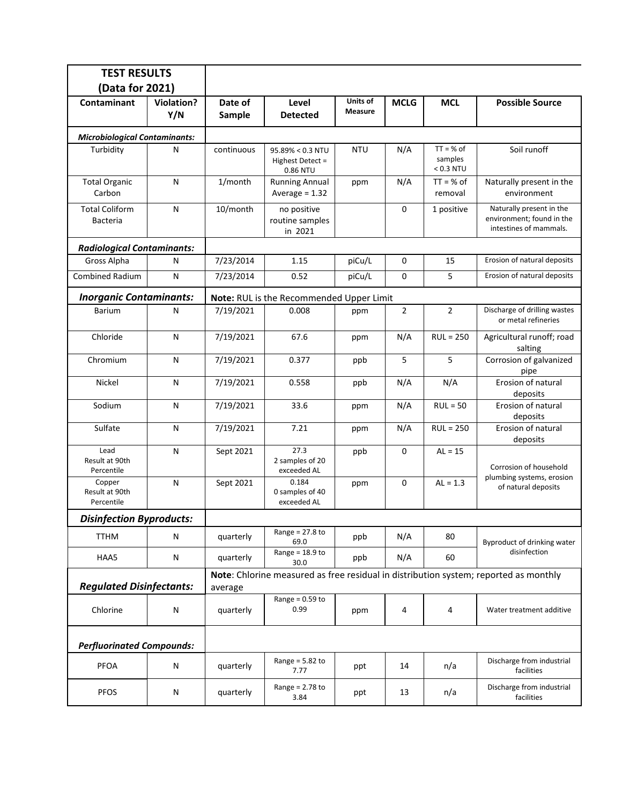| <b>TEST RESULTS</b>                      |                          |                                                                                      |                                                  |                     |                |                                       |                                                                                 |  |  |  |  |
|------------------------------------------|--------------------------|--------------------------------------------------------------------------------------|--------------------------------------------------|---------------------|----------------|---------------------------------------|---------------------------------------------------------------------------------|--|--|--|--|
| (Data for 2021)                          |                          |                                                                                      |                                                  |                     |                |                                       |                                                                                 |  |  |  |  |
| Contaminant                              | <b>Violation?</b><br>Y/N | Date of<br>Sample                                                                    | Level<br><b>Detected</b>                         | Units of<br>Measure | <b>MCLG</b>    | <b>MCL</b>                            | <b>Possible Source</b>                                                          |  |  |  |  |
| <b>Microbiological Contaminants:</b>     |                          |                                                                                      |                                                  |                     |                |                                       |                                                                                 |  |  |  |  |
| Turbidity                                | N                        | continuous                                                                           | 95.89% < 0.3 NTU<br>Highest Detect =<br>0.86 NTU | <b>NTU</b>          | N/A            | $TT = % of$<br>samples<br>$< 0.3$ NTU | Soil runoff                                                                     |  |  |  |  |
| <b>Total Organic</b><br>Carbon           | N                        | 1/month                                                                              | <b>Running Annual</b><br>Average = $1.32$        | ppm                 | N/A            | $TT = % of$<br>removal                | Naturally present in the<br>environment                                         |  |  |  |  |
| <b>Total Coliform</b><br><b>Bacteria</b> | N                        | 10/month                                                                             | no positive<br>routine samples<br>in 2021        | 0                   |                | 1 positive                            | Naturally present in the<br>environment; found in the<br>intestines of mammals. |  |  |  |  |
| <b>Radiological Contaminants:</b>        |                          |                                                                                      |                                                  |                     |                |                                       |                                                                                 |  |  |  |  |
| Gross Alpha                              | N                        | 7/23/2014                                                                            | 1.15                                             | piCu/L              | 0              | 15                                    | Erosion of natural deposits                                                     |  |  |  |  |
| <b>Combined Radium</b>                   | $\mathsf{N}$             | 7/23/2014                                                                            | 0.52                                             | piCu/L              | 0              | 5                                     | Erosion of natural deposits                                                     |  |  |  |  |
| <b>Inorganic Contaminants:</b>           |                          | Note: RUL is the Recommended Upper Limit                                             |                                                  |                     |                |                                       |                                                                                 |  |  |  |  |
| <b>Barium</b>                            | N                        | 7/19/2021                                                                            | 0.008                                            | ppm                 | $\overline{2}$ | $\overline{2}$                        | Discharge of drilling wastes<br>or metal refineries                             |  |  |  |  |
| Chloride                                 | N                        | 7/19/2021                                                                            | 67.6                                             | ppm                 | N/A            | $RUL = 250$                           | Agricultural runoff; road<br>salting                                            |  |  |  |  |
| Chromium                                 | N                        | 7/19/2021                                                                            | 0.377                                            | ppb                 | 5              | 5                                     | Corrosion of galvanized<br>pipe                                                 |  |  |  |  |
| Nickel                                   | ${\sf N}$                | 7/19/2021                                                                            | 0.558                                            | ppb                 | N/A            | N/A                                   | Erosion of natural<br>deposits                                                  |  |  |  |  |
| Sodium                                   | N                        | 7/19/2021                                                                            | 33.6                                             | ppm                 | N/A            | $RUL = 50$                            | Erosion of natural<br>deposits                                                  |  |  |  |  |
| Sulfate                                  | N                        | 7/19/2021                                                                            | 7.21                                             | ppm                 | N/A            | $RUL = 250$                           | Erosion of natural<br>deposits                                                  |  |  |  |  |
| Lead<br>Result at 90th<br>Percentile     | N                        | Sept 2021                                                                            | 27.3<br>2 samples of 20<br>exceeded AL           | ppb                 | 0              | $AL = 15$                             | Corrosion of household                                                          |  |  |  |  |
| Copper<br>Result at 90th<br>Percentile   | N                        | Sept 2021                                                                            | 0.184<br>0 samples of 40<br>exceeded AL          | ppm                 | 0              | $AL = 1.3$                            | plumbing systems, erosion<br>of natural deposits                                |  |  |  |  |
| <b>Disinfection Byproducts:</b>          |                          |                                                                                      |                                                  |                     |                |                                       |                                                                                 |  |  |  |  |
| <b>TTHM</b>                              | N                        | quarterly                                                                            | Range = $27.8$ to<br>69.0                        | ppb                 | N/A            | 80                                    | Byproduct of drinking water                                                     |  |  |  |  |
| HAA5                                     | N                        | Range = $18.9$ to<br>quarterly<br>30.0                                               |                                                  | ppb                 | N/A            | 60                                    | disinfection                                                                    |  |  |  |  |
|                                          |                          | Note: Chlorine measured as free residual in distribution system; reported as monthly |                                                  |                     |                |                                       |                                                                                 |  |  |  |  |
| <b>Regulated Disinfectants:</b>          |                          | average                                                                              |                                                  |                     |                |                                       |                                                                                 |  |  |  |  |
| Chlorine                                 | N                        |                                                                                      | Range = $0.59$ to<br>0.99                        | ppm                 | 4              | 4                                     | Water treatment additive                                                        |  |  |  |  |
| <b>Perfluorinated Compounds:</b>         |                          |                                                                                      |                                                  |                     |                |                                       |                                                                                 |  |  |  |  |
| PFOA                                     | N                        | quarterly                                                                            | Range = $5.82$ to<br>7.77                        | ppt                 | 14             | n/a                                   | Discharge from industrial<br>facilities                                         |  |  |  |  |
| <b>PFOS</b>                              | N                        | quarterly                                                                            | Range = 2.78 to<br>3.84                          | ppt                 | 13             | n/a                                   | Discharge from industrial<br>facilities                                         |  |  |  |  |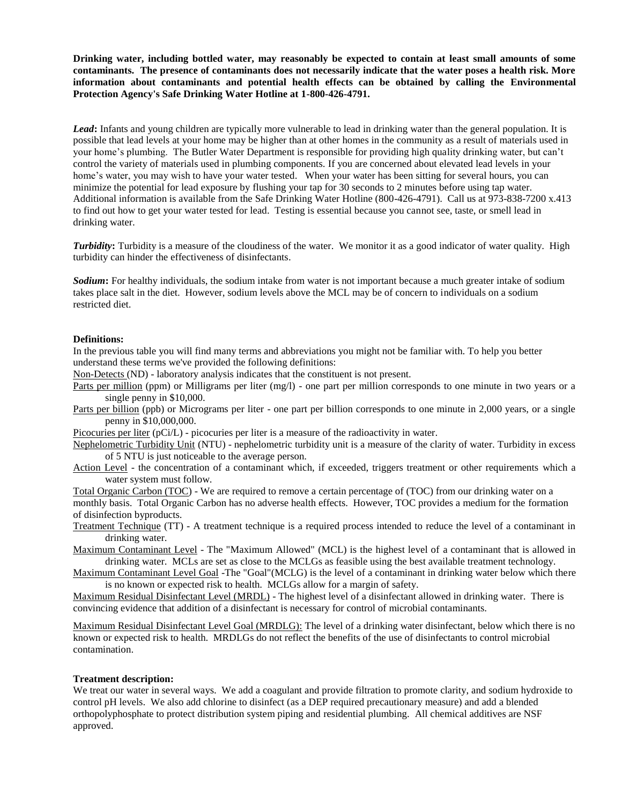**Drinking water, including bottled water, may reasonably be expected to contain at least small amounts of some contaminants. The presence of contaminants does not necessarily indicate that the water poses a health risk. More information about contaminants and potential health effects can be obtained by calling the Environmental Protection Agency's Safe Drinking Water Hotline at 1-800-426-4791.**

*Lead***:** Infants and young children are typically more vulnerable to lead in drinking water than the general population. It is possible that lead levels at your home may be higher than at other homes in the community as a result of materials used in your home's plumbing. The Butler Water Department is responsible for providing high quality drinking water, but can't control the variety of materials used in plumbing components. If you are concerned about elevated lead levels in your home's water, you may wish to have your water tested. When your water has been sitting for several hours, you can minimize the potential for lead exposure by flushing your tap for 30 seconds to 2 minutes before using tap water. Additional information is available from the Safe Drinking Water Hotline (800-426-4791). Call us at 973-838-7200 x.413 to find out how to get your water tested for lead. Testing is essential because you cannot see, taste, or smell lead in drinking water.

*Turbidity***:** Turbidity is a measure of the cloudiness of the water. We monitor it as a good indicator of water quality. High turbidity can hinder the effectiveness of disinfectants.

*Sodium***:** For healthy individuals, the sodium intake from water is not important because a much greater intake of sodium takes place salt in the diet. However, sodium levels above the MCL may be of concern to individuals on a sodium restricted diet.

#### **Definitions:**

In the previous table you will find many terms and abbreviations you might not be familiar with. To help you better understand these terms we've provided the following definitions:

Non-Detects (ND) - laboratory analysis indicates that the constituent is not present.

- Parts per million (ppm) or Milligrams per liter (mg/l) one part per million corresponds to one minute in two years or a single penny in \$10,000.
- Parts per billion (ppb) or Micrograms per liter one part per billion corresponds to one minute in 2,000 years, or a single penny in \$10,000,000.

Picocuries per liter (pCi/L) - picocuries per liter is a measure of the radioactivity in water.

- Nephelometric Turbidity Unit (NTU) nephelometric turbidity unit is a measure of the clarity of water. Turbidity in excess of 5 NTU is just noticeable to the average person.
- Action Level the concentration of a contaminant which, if exceeded, triggers treatment or other requirements which a water system must follow.

Total Organic Carbon (TOC) - We are required to remove a certain percentage of (TOC) from our drinking water on a monthly basis. Total Organic Carbon has no adverse health effects. However, TOC provides a medium for the formation of disinfection byproducts.

Treatment Technique (TT) - A treatment technique is a required process intended to reduce the level of a contaminant in drinking water.

Maximum Contaminant Level - The "Maximum Allowed" (MCL) is the highest level of a contaminant that is allowed in drinking water. MCLs are set as close to the MCLGs as feasible using the best available treatment technology.

Maximum Contaminant Level Goal -The "Goal"(MCLG) is the level of a contaminant in drinking water below which there is no known or expected risk to health. MCLGs allow for a margin of safety.

Maximum Residual Disinfectant Level (MRDL) - The highest level of a disinfectant allowed in drinking water. There is convincing evidence that addition of a disinfectant is necessary for control of microbial contaminants.

Maximum Residual Disinfectant Level Goal (MRDLG): The level of a drinking water disinfectant, below which there is no known or expected risk to health. MRDLGs do not reflect the benefits of the use of disinfectants to control microbial contamination.

#### **Treatment description:**

We treat our water in several ways. We add a coagulant and provide filtration to promote clarity, and sodium hydroxide to control pH levels. We also add chlorine to disinfect (as a DEP required precautionary measure) and add a blended orthopolyphosphate to protect distribution system piping and residential plumbing. All chemical additives are NSF approved.